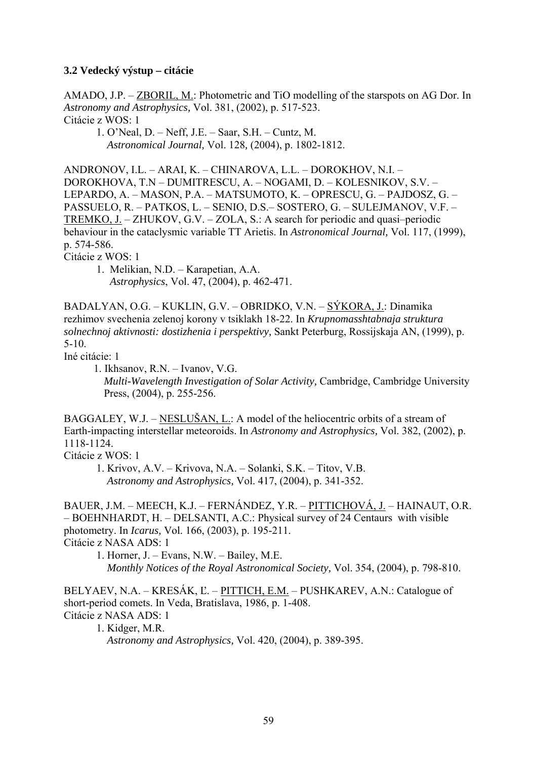## **3.2 Vedecký výstup – citácie**

AMADO, J.P. – ZBORIL, M.: Photometric and TiO modelling of the starspots on AG Dor. In *Astronomy and Astrophysics,* Vol. 381, (2002), p. 517-523. Citácie z WOS: 1

 1. O'Neal, D. – Neff, J.E. – Saar, S.H. – Cuntz, M. *Astronomical Journal,* Vol. 128*,* (2004), p. 1802-1812.

ANDRONOV, I.L. – ARAI, K. – CHINAROVA, L.L. – DOROKHOV, N.I. – DOROKHOVA, T.N – DUMITRESCU, A. – NOGAMI, D. – KOLESNIKOV, S.V. – LEPARDO, A. – MASON, P.A. – MATSUMOTO, K. – OPRESCU, G. – PAJDOSZ, G. – PASSUELO, R. – PATKOS, L. – SENIO, D.S.– SOSTERO, G. – SULEJMANOV, V.F. – TREMKO, J. – ZHUKOV, G.V. – ZOLA, S.: A search for periodic and quasi–periodic behaviour in the cataclysmic variable TT Arietis. In *Astronomical Journal,* Vol. 117, (1999), p. 574-586.

Citácie z WOS: 1

 1. Melikian, N.D. – Karapetian, A.A. *Astrophysics*, Vol. 47, (2004), p. 462-471.

BADALYAN, O.G. – KUKLIN, G.V. – OBRIDKO, V.N. – SÝKORA, J.: Dinamika rezhimov svechenia zelenoj korony v tsiklakh 18-22. In *Krupnomasshtabnaja struktura solnechnoj aktivnosti: dostizhenia i perspektivy,* Sankt Peterburg, Rossijskaja AN, (1999), p. 5-10.

Iné citácie: 1

 1. Ikhsanov, R.N. – Ivanov, V.G. *Multi-Wavelength Investigation of Solar Activity,* Cambridge, Cambridge University Press,  $(2004)$ , p. 255-256.

BAGGALEY, W.J. – NESLUŠAN, L.: A model of the heliocentric orbits of a stream of Earth-impacting interstellar meteoroids. In *Astronomy and Astrophysics,* Vol. 382, (2002), p. 1118-1124.

Citácie z WOS: 1

 1. Krivov, A.V. – Krivova, N.A. – Solanki, S.K. – Titov, V.B. *Astronomy and Astrophysics,* Vol. 417, (2004), p. 341-352.

BAUER, J.M. – MEECH, K.J. – FERNÁNDEZ, Y.R. – PITTICHOVÁ, J. – HAINAUT, O.R. – BOEHNHARDT, H. – DELSANTI, A.C.: Physical survey of 24 Centaurs with visible photometry. In *Icarus,* Vol. 166, (2003), p. 195-211. Citácie z NASA ADS: 1

 1. Horner, J. – Evans, N.W. – Bailey, M.E. *Monthly Notices of the Royal Astronomical Society,* Vol. 354, (2004), p. 798-810.

BELYAEV, N.A. – KRESÁK, Ľ. – PITTICH, E.M. – PUSHKAREV, A.N.: Catalogue of short-period comets. In Veda, Bratislava, 1986, p. 1-408. Citácie z NASA ADS: 1

 1. Kidger, M.R. *Astronomy and Astrophysics,* Vol. 420, (2004), p. 389-395.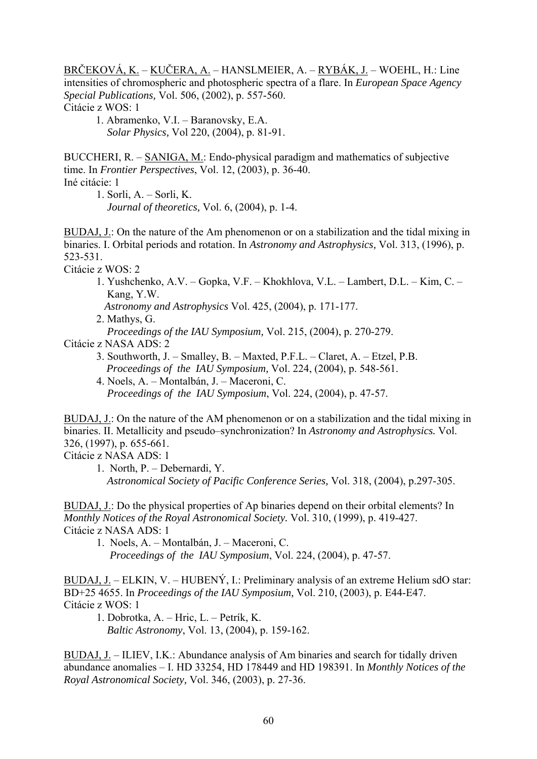BRČEKOVÁ, K. – KUČERA, A. – HANSLMEIER, A. – RYBÁK, J. – WOEHL, H.: Line intensities of chromospheric and photospheric spectra of a flare. In *European Space Agency Special Publications,* Vol. 506, (2002), p. 557-560. Citácie z WOS: 1

1. Abramenko, V.I. – Baranovsky, E.A. *Solar Physics,* Vol 220, (2004), p. 81-91.

BUCCHERI, R. – SANIGA, M.: Endo-physical paradigm and mathematics of subjective time. In *Frontier Perspectives*, Vol. 12, (2003), p. 36-40.

Iné citácie: 1

1. Sorli, A. – Sorli, K.

 *Journal of theoretics,* Vol. 6, (2004), p. 1-4.

BUDAJ, J.: On the nature of the Am phenomenon or on a stabilization and the tidal mixing in binaries. I. Orbital periods and rotation. In *Astronomy and Astrophysics,* Vol. 313, (1996), p. 523-531.

Citácie z WOS: 2

1. Yushchenko, A.V. – Gopka, V.F. – Khokhlova, V.L. – Lambert, D.L. – Kim, C. – Kang, Y.W.

*Astronomy and Astrophysics* Vol. 425, (2004), p. 171-177.

2. Mathys, G.

*Proceedings of the IAU Symposium,* Vol. 215, (2004), p. 270-279.

Citácie z NASA ADS: 2

- 3. Southworth, J. Smalley, B. Maxted, P.F.L. Claret, A. Etzel, P.B. *Proceedings of the IAU Symposium,* Vol. 224, (2004), p. 548-561.
- 4. Noels, A. Montalbán, J. Maceroni, C. *Proceedings of the IAU Symposium*, Vol. 224, (2004), p. 47-57.

BUDAJ, J.: On the nature of the AM phenomenon or on a stabilization and the tidal mixing in binaries. II. Metallicity and pseudo–synchronization? In *Astronomy and Astrophysics.* Vol. 326, (1997), p. 655-661.

Citácie z NASA ADS: 1

 1. North, P. – Debernardi, Y. *Astronomical Society of Pacific Conference Series,* Vol. 318, (2004), p.297-305.

BUDAJ, J.: Do the physical properties of Ap binaries depend on their orbital elements? In *Monthly Notices of the Royal Astronomical Society.* Vol. 310, (1999), p. 419-427. Citácie z NASA ADS: 1

1. Noels, A. – Montalbán, J. – Maceroni, C. *Proceedings of the IAU Symposium*, Vol. 224, (2004), p. 47-57.

BUDAJ, J. – ELKIN, V. – HUBENÝ, I.: Preliminary analysis of an extreme Helium sdO star: BD+25 4655. In *Proceedings of the IAU Symposium,* Vol. 210, (2003), p. E44-E47. Citácie z WOS: 1

1. Dobrotka, A. – Hric, L. – Petrík, K. *Baltic Astronomy*, Vol. 13, (2004), p. 159-162.

BUDAJ, J. – ILIEV, I.K.: Abundance analysis of Am binaries and search for tidally driven abundance anomalies – I. HD 33254, HD 178449 and HD 198391. In *Monthly Notices of the Royal Astronomical Society,* Vol. 346, (2003), p. 27-36.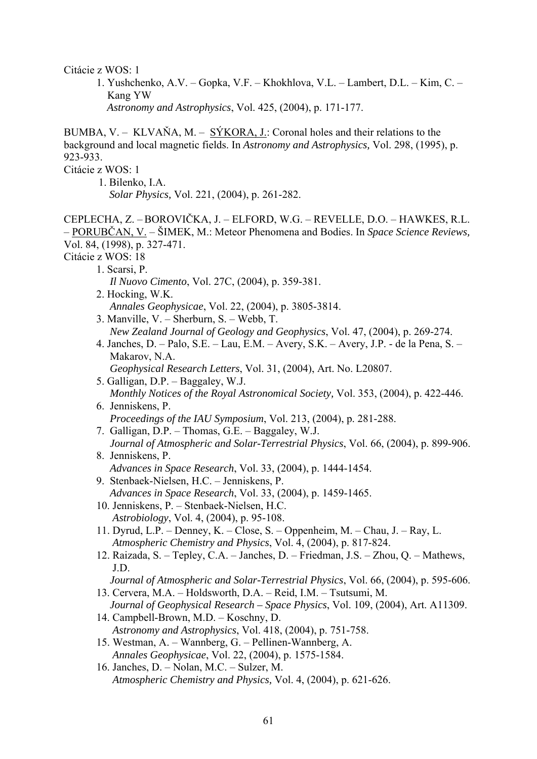Citácie z WOS: 1

1. Yushchenko, A.V. – Gopka, V.F. – Khokhlova, V.L. – Lambert, D.L. – Kim, C. – Kang YW *Astronomy and Astrophysics*, Vol. 425, (2004), p. 171-177.

BUMBA, V. – KLVAŇA, M. – SÝKORA, J.: Coronal holes and their relations to the background and local magnetic fields. In *Astronomy and Astrophysics,* Vol. 298, (1995), p. 923-933.

Citácie z WOS: 1

 1. Bilenko, I.A. *Solar Physics,* Vol. 221, (2004), p. 261-282.

CEPLECHA, Z. –BOROVIČKA, J. – ELFORD, W.G. – REVELLE, D.O. – HAWKES, R.L. – PORUBČAN, V. – ŠIMEK, M.: Meteor Phenomena and Bodies. In *Space Science Reviews,* Vol. 84, (1998), p. 327-471.

Citácie z WOS: 18

- 1. Scarsi, P.
	- *Il Nuovo Cimento*, Vol. 27C, (2004), p. 359-381.
- 2. Hocking, W.K. *Annales Geophysicae*, Vol. 22, (2004), p. 3805-3814.
- 3. Manville, V. Sherburn, S. Webb, T. *New Zealand Journal of Geology and Geophysics*, Vol. 47, (2004), p. 269-274.
- 4. Janches, D. Palo, S.E. Lau, E.M. Avery, S.K. Avery, J.P. de la Pena, S. Makarov, N.A.
	- *Geophysical Research Letters*, Vol. 31, (2004), Art. No. L20807.
- 5. Galligan, D.P. Baggaley, W.J. *Monthly Notices of the Royal Astronomical Society,* Vol. 353, (2004), p. 422-446.
- 6. Jenniskens, P. *Proceedings of the IAU Symposium*, Vol. 213, (2004), p. 281-288.
- 7. Galligan, D.P. Thomas, G.E. Baggaley, W.J. *Journal of Atmospheric and Solar-Terrestrial Physics*, Vol. 66, (2004), p. 899-906.
- 8. Jenniskens, P. *Advances in Space Research*, Vol. 33, (2004), p. 1444-1454.
- 9. Stenbaek-Nielsen, H.C. Jenniskens, P. *Advances in Space Research*, Vol. 33, (2004), p. 1459-1465.
- 10. Jenniskens, P. Stenbaek-Nielsen, H.C. *Astrobiology*, Vol. 4, (2004), p. 95-108.
- 11. Dyrud, L.P. Denney, K. Close, S. Oppenheim, M. Chau, J. Ray, L. *Atmospheric Chemistry and Physics*, Vol. 4, (2004), p. 817-824.
- 12. Raizada, S. Tepley, C.A. Janches, D. Friedman, J.S. Zhou, Q. Mathews, J.D.
	- *Journal of Atmospheric and Solar-Terrestrial Physics*, Vol. 66, (2004), p. 595-606.
- 13. Cervera, M.A. Holdsworth, D.A. Reid, I.M. Tsutsumi, M.
- *Journal of Geophysical Research Space Physics*, Vol. 109, (2004), Art. A11309. 14. Campbell-Brown, M.D. – Koschny, D.
- *Astronomy and Astrophysics*, Vol. 418, (2004), p. 751-758.
- 15. Westman, A. Wannberg, G. Pellinen-Wannberg, A. *Annales Geophysicae*, Vol. 22, (2004), p. 1575-1584.
- 16. Janches, D. Nolan, M.C. Sulzer, M. *Atmospheric Chemistry and Physics,* Vol. 4, (2004), p. 621-626.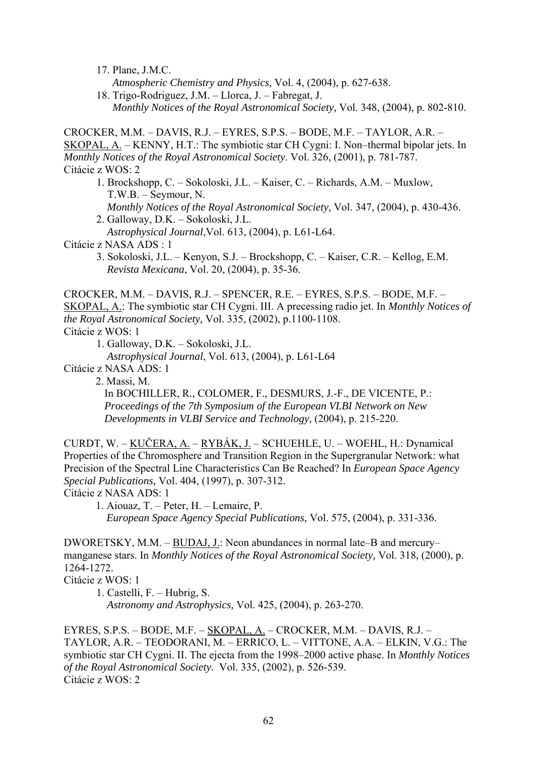17. Plane, J.M.C.

*Atmospheric Chemistry and Physics,* Vol. 4, (2004), p. 627-638.

 18. Trigo-Rodriguez, J.M. – Llorca, J. – Fabregat, J. *Monthly Notices of the Royal Astronomical Society,* Vol. 348, (2004), p. 802-810.

CROCKER, M.M. – DAVIS, R.J. – EYRES, S.P.S. – BODE, M.F. – TAYLOR, A.R. – SKOPAL, A. – KENNY, H.T.: The symbiotic star CH Cygni: I. Non–thermal bipolar jets. In *Monthly Notices of the Royal Astronomical Society*. Vol. 326, (2001), p. 781-787. Citácie z WOS: 2

1. Brockshopp, C. – Sokoloski, J.L. – Kaiser, C. – Richards, A.M. – Muxlow, T.W.B. – Seymour, N. *Monthly Notices of the Royal Astronomical Society,* Vol. 347, (2004), p. 430-436.

 2. Galloway, D.K. – Sokoloski, J.L. *Astrophysical Journal*,Vol. 613, (2004), p. L61-L64.

Citácie z NASA ADS : 1

3. Sokoloski, J.L. – Kenyon, S.J. – Brockshopp, C. – Kaiser, C.R. – Kellog, E.M. *Revista Mexicana*, Vol. 20, (2004), p. 35-36.

CROCKER, M.M. – DAVIS, R.J. – SPENCER, R.E. – EYRES, S.P.S. – BODE, M.F. – SKOPAL, A.: The symbiotic star CH Cygni. III. A precessing radio jet. In *Monthly Notices of the Royal Astronomical Society,* Vol. 335, (2002), p.1100-1108. Citácie z WOS: 1

1. Galloway, D.K. – Sokoloski, J.L.

*Astrophysical Journal*, Vol. 613, (2004), p. L61-L64

Citácie z NASA ADS: 1

2. Massi, M.

 In BOCHILLER, R., COLOMER, F., DESMURS, J.-F., DE VICENTE, P.: *Proceedings of the 7th Symposium of the European VLBI Network on New Developments in VLBI Service and Technology,* (2004), p. 215-220.

CURDT, W. – KUČERA, A. – RYBÁK, J. – SCHUEHLE, U. – WOEHL, H.: Dynamical Properties of the Chromosphere and Transition Region in the Supergranular Network: what Precision of the Spectral Line Characteristics Can Be Reached? In *European Space Agency Special Publications,* Vol. 404, (1997), p. 307-312.

Citácie z NASA ADS: 1

1. Aiouaz, T. – Peter, H. – Lemaire, P. *European Space Agency Special Publications,* Vol. 575, (2004), p. 331-336.

DWORETSKY, M.M. – BUDAJ, J.: Neon abundances in normal late–B and mercury– manganese stars. In *Monthly Notices of the Royal Astronomical Society,* Vol. 318, (2000), p. 1264-1272.

Citácie z WOS: 1

1. Castelli, F. – Hubrig, S.

*Astronomy and Astrophysics,* Vol. 425, (2004), p. 263-270.

EYRES, S.P.S. – BODE, M.F. – SKOPAL, A. – CROCKER, M.M. – DAVIS, R.J. – TAYLOR, A.R. – TEODORANI, M. – ERRICO, L. – VITTONE, A.A. – ELKIN, V.G.: The symbiotic star CH Cygni. II. The ejecta from the 1998–2000 active phase. In *Monthly Notices of the Royal Astronomical Society.* Vol. 335, (2002), p. 526-539. Citácie z WOS: 2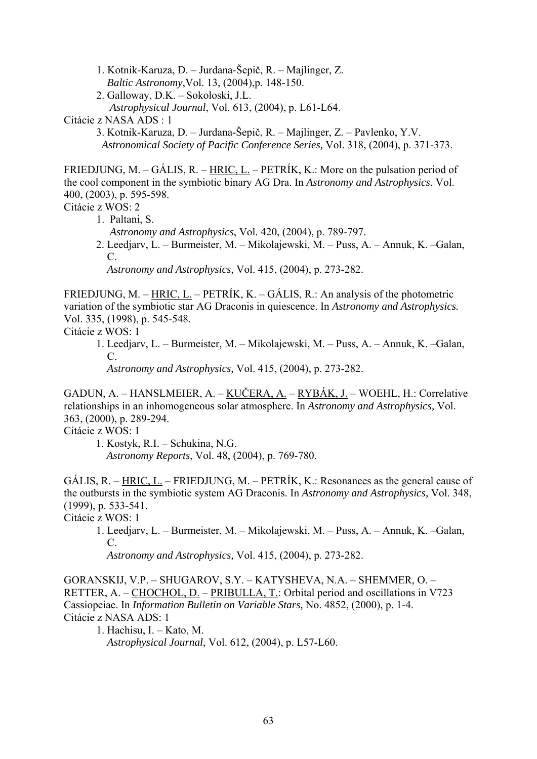1. Kotnik-Karuza, D. – Jurdana-Šepič, R. – Majlinger, Z.

- *Baltic Astronomy*,Vol. 13, (2004),p. 148-150.
- 2. Galloway, D.K. Sokoloski, J.L. *Astrophysical Journal*, Vol. 613, (2004), p. L61-L64.

Citácie z NASA ADS : 1

 3. Kotnik-Karuza, D. – Jurdana-Šepič, R. – Majlinger, Z. – Pavlenko, Y.V. *Astronomical Society of Pacific Conference Series,* Vol. 318, (2004), p. 371-373.

FRIEDJUNG, M. – GÁLIS, R. – HRIC, L. – PETRÍK, K.: More on the pulsation period of the cool component in the symbiotic binary AG Dra. In *Astronomy and Astrophysics.* Vol. 400, (2003), p. 595-598.

Citácie z WOS: 2

- 1. Paltani, S.
	- *Astronomy and Astrophysics*, Vol. 420, (2004), p. 789-797.
- 2. Leedjarv, L. Burmeister, M. Mikolajewski, M. Puss, A. Annuk, K. –Galan, C.

*Astronomy and Astrophysics,* Vol. 415, (2004), p. 273-282.

FRIEDJUNG, M. – HRIC, L. – PETRÍK, K. – GÁLIS, R.: An analysis of the photometric variation of the symbiotic star AG Draconis in quiescence. In *Astronomy and Astrophysics.*  Vol. 335, (1998), p. 545-548.

Citácie z WOS: 1

 1. Leedjarv, L. – Burmeister, M. – Mikolajewski, M. – Puss, A. – Annuk, K. –Galan, C.

*Astronomy and Astrophysics,* Vol. 415, (2004), p. 273-282.

GADUN, A. – HANSLMEIER, A. – KUČERA, A. – RYBÁK, J. – WOEHL, H.: Correlative relationships in an inhomogeneous solar atmosphere. In *Astronomy and Astrophysics,* Vol. 363, (2000), p. 289-294.

Citácie z WOS: 1

1. Kostyk, R.I. – Schukina, N.G. *Astronomy Reports*, Vol. 48, (2004), p. 769-780.

GÁLIS, R. – HRIC, L. – FRIEDJUNG, M. – PETRÍK, K.: Resonances as the general cause of the outbursts in the symbiotic system AG Draconis. In *Astronomy and Astrophysics,* Vol. 348, (1999), p. 533-541.

Citácie z WOS: 1

 1. Leedjarv, L. – Burmeister, M. – Mikolajewski, M. – Puss, A. – Annuk, K. –Galan, C.

*Astronomy and Astrophysics,* Vol. 415, (2004), p. 273-282.

GORANSKIJ, V.P. – SHUGAROV, S.Y. – KATYSHEVA, N.A. – SHEMMER, O. – RETTER, A. – CHOCHOL, D. – PRIBULLA, T.: Orbital period and oscillations in V723 Cassiopeiae. In *Information Bulletin on Variable Stars,* No. 4852, (2000), p. 1-4. Citácie z NASA ADS: 1

 1. Hachisu, I. – Kato, M. *Astrophysical Journal*, Vol. 612, (2004), p. L57-L60.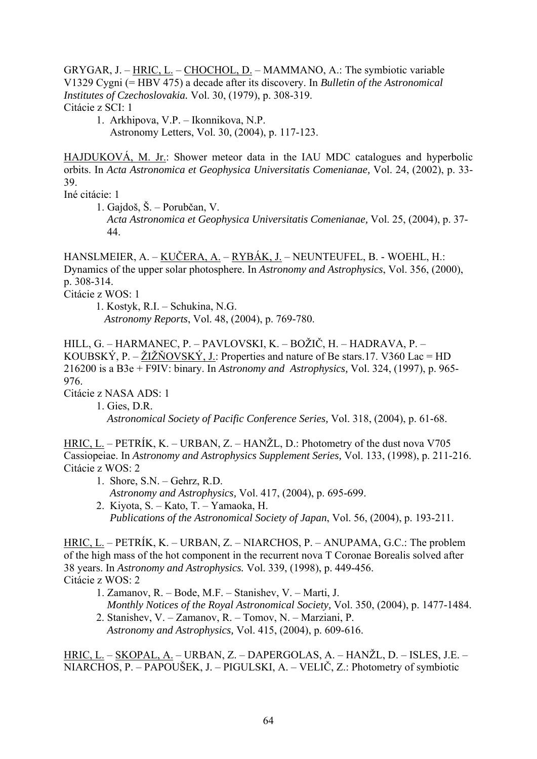GRYGAR, J. – HRIC, L. – CHOCHOL, D. – MAMMANO, A.: The symbiotic variable V1329 Cygni (= HBV 475) a decade after its discovery. In *Bulletin of the Astronomical Institutes of Czechoslovakia.* Vol. 30, (1979), p. 308-319. Citácie z SCI: 1

1. Arkhipova, V.P. – Ikonnikova, N.P. Astronomy Letters, Vol. 30, (2004), p. 117-123.

HAJDUKOVÁ, M. Jr.: Shower meteor data in the IAU MDC catalogues and hyperbolic orbits. In *Acta Astronomica et Geophysica Universitatis Comenianae,* Vol. 24, (2002), p. 33- 39.

Iné citácie: 1

1. Gajdoš, Š. – Porubčan, V.

 *Acta Astronomica et Geophysica Universitatis Comenianae,* Vol. 25, (2004), p. 37- 44.

HANSLMEIER, A. – KUČERA, A. – RYBÁK, J. – NEUNTEUFEL, B. - WOEHL, H.: Dynamics of the upper solar photosphere. In *Astronomy and Astrophysics*, Vol. 356, (2000), p. 308-314.

Citácie z WOS: 1

1. Kostyk, R.I. – Schukina, N.G. *Astronomy Reports*, Vol. 48, (2004), p. 769-780.

HILL, G. – HARMANEC, P. – PAVLOVSKI, K. – BOŽIČ, H. – HADRAVA, P. – KOUBSKÝ, P. – ŽIŽŇOVSKÝ, J.: Properties and nature of Be stars.17. V360 Lac = HD 216200 is a B3e + F9IV: binary. In *Astronomy and Astrophysics,* Vol. 324, (1997), p. 965- 976.

Citácie z NASA ADS: 1

1. Gies, D.R.

*Astronomical Society of Pacific Conference Series,* Vol. 318, (2004), p. 61-68.

HRIC, L. – PETRÍK, K. – URBAN, Z. – HANŽL, D.: Photometry of the dust nova V705 Cassiopeiae. In *Astronomy and Astrophysics Supplement Series,* Vol. 133, (1998), p. 211-216. Citácie z WOS: 2

- 1. Shore, S.N. Gehrz, R.D. *Astronomy and Astrophysics,* Vol. 417, (2004), p. 695-699.
- 2. Kiyota, S. Kato, T. Yamaoka, H. *Publications of the Astronomical Society of Japan*, Vol. 56, (2004), p. 193-211.

HRIC, L. – PETRÍK, K. – URBAN, Z. – NIARCHOS, P. – ANUPAMA, G.C.: The problem of the high mass of the hot component in the recurrent nova T Coronae Borealis solved after 38 years. In *Astronomy and Astrophysics.* Vol. 339, (1998), p. 449-456. Citácie z WOS: 2

- 1. Zamanov, R. Bode, M.F. Stanishev, V. Marti, J. *Monthly Notices of the Royal Astronomical Society,* Vol. 350, (2004), p. 1477-1484.
- 2. Stanishev, V. Zamanov, R. Tomov, N. Marziani, P. *Astronomy and Astrophysics,* Vol. 415, (2004), p. 609-616.

HRIC, L. – SKOPAL, A. – URBAN, Z. – DAPERGOLAS, A. – HANŽL, D. – ISLES, J.E. – NIARCHOS, P. – PAPOUŠEK, J. – PIGULSKI, A. – VELIČ, Z.: Photometry of symbiotic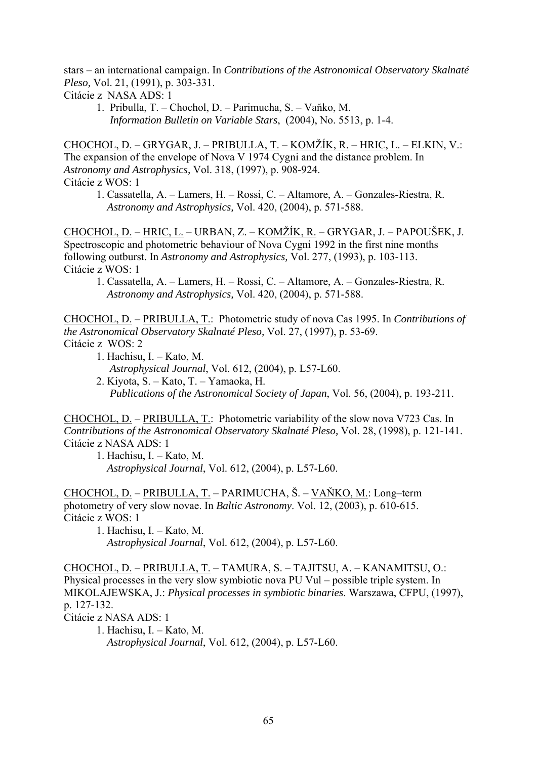stars – an international campaign. In *Contributions of the Astronomical Observatory Skalnaté Pleso,* Vol. 21, (1991), p. 303-331.

Citácie z NASA ADS: 1

 1. Pribulla, T. – Chochol, D. – Parimucha, S. – Vaňko, M. *Information Bulletin on Variable Stars*, (2004), No. 5513, p. 1-4.

CHOCHOL, D. – GRYGAR, J. – PRIBULLA, T. – KOMŽÍK, R. – HRIC, L. – ELKIN, V.: The expansion of the envelope of Nova V 1974 Cygni and the distance problem. In *Astronomy and Astrophysics,* Vol. 318, (1997), p. 908-924. Citácie z WOS: 1

1. Cassatella, A. – Lamers, H. – Rossi, C. – Altamore, A. – Gonzales-Riestra, R. *Astronomy and Astrophysics,* Vol. 420, (2004), p. 571-588.

CHOCHOL, D. – HRIC, L. – URBAN, Z. – KOMŽÍK, R. – GRYGAR, J. – PAPOUŠEK, J. Spectroscopic and photometric behaviour of Nova Cygni 1992 in the first nine months following outburst. In *Astronomy and Astrophysics,* Vol. 277, (1993), p. 103-113. Citácie z WOS: 1

1. Cassatella, A. – Lamers, H. – Rossi, C. – Altamore, A. – Gonzales-Riestra, R. *Astronomy and Astrophysics,* Vol. 420, (2004), p. 571-588.

CHOCHOL, D. – PRIBULLA, T.: Photometric study of nova Cas 1995. In *Contributions of the Astronomical Observatory Skalnaté Pleso,* Vol. 27, (1997), p. 53-69. Citácie z WOS: 2

- 1. Hachisu, I. Kato, M. *Astrophysical Journal*, Vol. 612, (2004), p. L57-L60.
- 2. Kiyota, S. Kato, T. Yamaoka, H. *Publications of the Astronomical Society of Japan*, Vol. 56, (2004), p. 193-211.

CHOCHOL, D. – PRIBULLA, T.: Photometric variability of the slow nova V723 Cas. In *Contributions of the Astronomical Observatory Skalnaté Pleso,* Vol. 28, (1998), p. 121-141. Citácie z NASA ADS: 1

 1. Hachisu, I. – Kato, M. *Astrophysical Journal*, Vol. 612, (2004), p. L57-L60.

CHOCHOL, D. – PRIBULLA, T. – PARIMUCHA, Š. – VAŇKO, M.: Long–term photometry of very slow novae. In *Baltic Astronomy*. Vol. 12, (2003), p. 610-615. Citácie z WOS: 1

1. Hachisu, I. – Kato, M. *Astrophysical Journal*, Vol. 612, (2004), p. L57-L60.

CHOCHOL, D. – PRIBULLA, T. – TAMURA, S. – TAJITSU, A. – KANAMITSU, O.: Physical processes in the very slow symbiotic nova PU Vul – possible triple system. In MIKOLAJEWSKA, J.: *Physical processes in symbiotic binaries*. Warszawa, CFPU, (1997), p. 127-132. Citácie z NASA ADS: 1

1. Hachisu, I. – Kato, M. *Astrophysical Journal*, Vol. 612, (2004), p. L57-L60.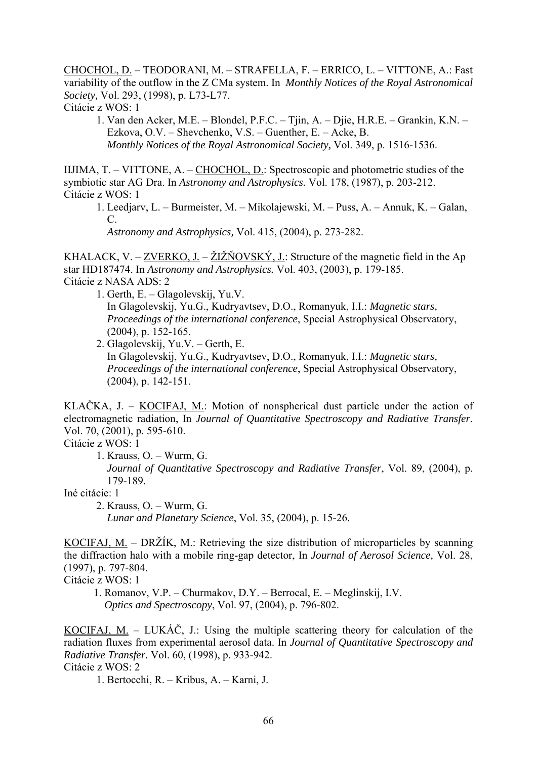CHOCHOL, D. – TEODORANI, M. – STRAFELLA, F. – ERRICO, L. – VITTONE, A.: Fast variability of the outflow in the Z CMa system. In *Monthly Notices of the Royal Astronomical Society,* Vol. 293, (1998), p. L73-L77.

Citácie z WOS: 1

1. Van den Acker, M.E. – Blondel, P.F.C. – Tjin, A. – Djie, H.R.E. – Grankin, K.N. – Ezkova, O.V. – Shevchenko, V.S. – Guenther, E. – Acke, B. *Monthly Notices of the Royal Astronomical Society,* Vol. 349, p. 1516-1536.

IIJIMA, T. – VITTONE, A. – CHOCHOL, D.: Spectroscopic and photometric studies of the symbiotic star AG Dra. In *Astronomy and Astrophysics.* Vol. 178, (1987), p. 203-212. Citácie z WOS: 1

1. Leedjarv, L. – Burmeister, M. – Mikolajewski, M. – Puss, A. – Annuk, K. – Galan, C.

*Astronomy and Astrophysics,* Vol. 415, (2004), p. 273-282.

KHALACK, V. – ZVERKO, J*.* – ŽIŽŇOVSKÝ, J.: Structure of the magnetic field in the Ap star HD187474. In *Astronomy and Astrophysics.* Vol. 403, (2003), p. 179-185. Citácie z NASA ADS: 2

- 1. Gerth, E. Glagolevskij, Yu.V. In Glagolevskij, Yu.G., Kudryavtsev, D.O., Romanyuk, I.I.: *Magnetic stars, Proceedings of the international conference*, Special Astrophysical Observatory, (2004), p. 152-165.
- 2. Glagolevskij, Yu.V. Gerth, E. In Glagolevskij, Yu.G., Kudryavtsev, D.O., Romanyuk, I.I.: *Magnetic stars, Proceedings of the international conference*, Special Astrophysical Observatory, (2004), p. 142-151.

KLAČKA, J. – KOCIFAJ, M.: Motion of nonspherical dust particle under the action of electromagnetic radiation, In *Journal of Quantitative Spectroscopy and Radiative Transfer.*  Vol. 70, (2001), p. 595-610.

Citácie z WOS: 1

 1. Krauss, O. – Wurm, G. *Journal of Quantitative Spectroscopy and Radiative Transfer*, Vol. 89, (2004), p. 179-189.

Iné citácie: 1

2. Krauss, O. – Wurm, G.

*Lunar and Planetary Science*, Vol. 35, (2004), p. 15-26.

KOCIFAJ, M. – DRŽÍK, M.: Retrieving the size distribution of microparticles by scanning the diffraction halo with a mobile ring-gap detector, In *Journal of Aerosol Science,* Vol. 28, (1997), p. 797-804.

Citácie z WOS: 1

 1. Romanov, V.P. – Churmakov, D.Y. – Berrocal, E. – Meglinskij, I.V. *Optics and Spectroscopy*, Vol. 97, (2004), p. 796-802.

KOCIFAJ, M. – LUKÁČ, J.: Using the multiple scattering theory for calculation of the radiation fluxes from experimental aerosol data. In *Journal of Quantitative Spectroscopy and Radiative Transfer.* Vol. 60, (1998), p. 933-942. Citácie z WOS: 2

1. Bertocchi, R. – Kribus, A. – Karni, J.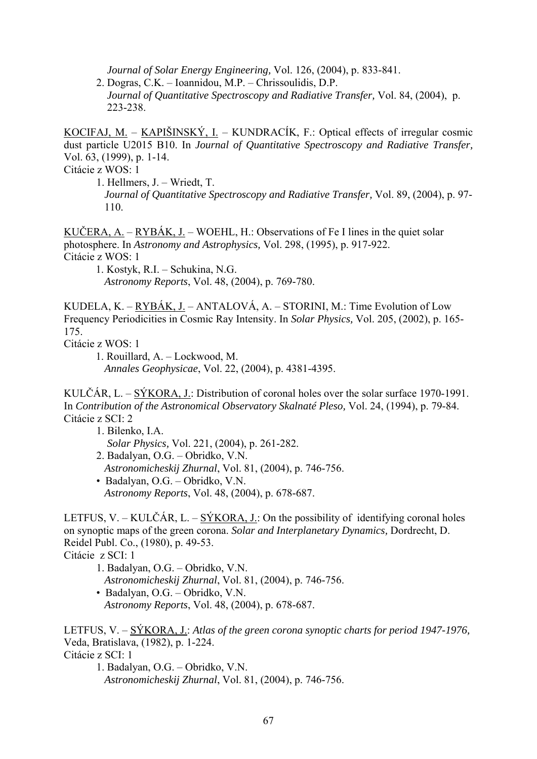*Journal of Solar Energy Engineering,* Vol. 126, (2004), p. 833-841.

 2. Dogras, C.K. – Ioannidou, M.P. – Chrissoulidis, D.P. *Journal of Quantitative Spectroscopy and Radiative Transfer,* Vol. 84, (2004), p. 223-238.

KOCIFAJ, M. – KAPIŠINSKÝ, I. – KUNDRACÍK, F.: Optical effects of irregular cosmic dust particle U2015 B10. In *Journal of Quantitative Spectroscopy and Radiative Transfer,*  Vol. 63, (1999), p. 1-14.

Citácie z WOS: 1

1. Hellmers, J. – Wriedt, T. *Journal of Quantitative Spectroscopy and Radiative Transfer,* Vol. 89, (2004), p. 97- 110.

KUČERA, A. – RYBÁK, J. – WOEHL, H.: Observations of Fe I lines in the quiet solar photosphere. In *Astronomy and Astrophysics,* Vol. 298, (1995), p. 917-922. Citácie z WOS: 1

1. Kostyk, R.I. – Schukina, N.G. *Astronomy Reports*, Vol. 48, (2004), p. 769-780.

KUDELA, K. –  $RYBÁK, J.$  – ANTALOVÁ, A. – STORINI, M.: Time Evolution of Low Frequency Periodicities in Cosmic Ray Intensity. In *Solar Physics,* Vol. 205, (2002), p. 165- 175.

Citácie z WOS: 1

1. Rouillard, A. – Lockwood, M. *Annales Geophysicae*, Vol. 22, (2004), p. 4381-4395.

KULČÁR, L. – SÝKORA, J.: Distribution of coronal holes over the solar surface 1970-1991. In *Contribution of the Astronomical Observatory Skalnaté Pleso,* Vol. 24, (1994), p. 79-84. Citácie z SCI: 2

1. Bilenko, I.A.

*Solar Physics,* Vol. 221, (2004), p. 261-282.

- 2. Badalyan, O.G. Obridko, V.N. *Astronomicheskij Zhurnal*, Vol. 81, (2004), p. 746-756. • Badalyan, O.G. – Obridko, V.N.
	- *Astronomy Reports*, Vol. 48, (2004), p. 678-687.

LETFUS, V. – KULČÁR, L. – SÝKORA, J.: On the possibility of identifying coronal holes on synoptic maps of the green corona. *Solar and Interplanetary Dynamics,* Dordrecht, D. Reidel Publ. Co., (1980), p. 49-53.

Citácie z SCI: 1

- 1. Badalyan, O.G. Obridko, V.N. *Astronomicheskij Zhurnal*, Vol. 81, (2004), p. 746-756.
- Badalyan, O.G. Obridko, V.N.
	- *Astronomy Reports*, Vol. 48, (2004), p. 678-687.

LETFUS, V. – SÝKORA, J.: *Atlas of the green corona synoptic charts for period 1947-1976,* Veda, Bratislava, (1982), p. 1-224. Citácie z SCI: 1

1. Badalyan, O.G. – Obridko, V.N. *Astronomicheskij Zhurnal*, Vol. 81, (2004), p. 746-756.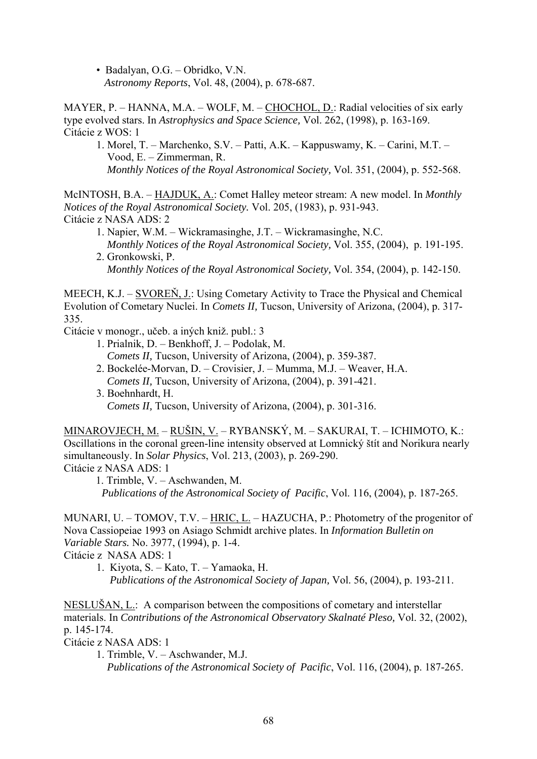• Badalyan, O.G. – Obridko, V.N. *Astronomy Reports*, Vol. 48, (2004), p. 678-687.

MAYER, P. – HANNA, M.A. – WOLF, M. – CHOCHOL, D.: Radial velocities of six early type evolved stars. In *Astrophysics and Space Science,* Vol. 262, (1998), p. 163-169. Citácie z WOS: 1

1. Morel, T. – Marchenko, S.V. – Patti, A.K. – Kappuswamy, K. – Carini, M.T. – Vood, E. – Zimmerman, R.  *Monthly Notices of the Royal Astronomical Society,* Vol. 351, (2004), p. 552-568.

McINTOSH, B.A. – HAJDUK, A.: Comet Halley meteor stream: A new model. In *Monthly Notices of the Royal Astronomical Society.* Vol. 205, (1983), p. 931-943. Citácie z NASA ADS: 2

- 1. Napier, W.M. Wickramasinghe, J.T. Wickramasinghe, N.C. *Monthly Notices of the Royal Astronomical Society,* Vol. 355, (2004), p. 191-195.
- 2. Gronkowski, P. *Monthly Notices of the Royal Astronomical Society,* Vol. 354, (2004), p. 142-150.

MEECH, K.J. – SVOREŇ, J.: Using Cometary Activity to Trace the Physical and Chemical Evolution of Cometary Nuclei. In *Comets II,* Tucson, University of Arizona, (2004), p. 317- 335.

Citácie v monogr., učeb. a iných kniž. publ.: 3

- 1. Prialnik, D. Benkhoff, J. Podolak, M. *Comets II,* Tucson, University of Arizona, (2004), p. 359-387.
- 2. Bockelée-Morvan, D. Crovisier, J. Mumma, M.J. Weaver, H.A. *Comets II,* Tucson, University of Arizona, (2004), p. 391-421.
- 3. Boehnhardt, H. *Comets II,* Tucson, University of Arizona, (2004), p. 301-316.

MINAROVJECH, M. – RUŠIN, V. – RYBANSKÝ, M. – SAKURAI, T. – ICHIMOTO, K.: Oscillations in the coronal green-line intensity observed at Lomnický štít and Norikura nearly simultaneously. In *Solar Physics*, Vol. 213, (2003), p. 269-290. Citácie z NASA ADS: 1

1. Trimble, V. – Aschwanden, M.

*Publications of the Astronomical Society of Pacific*, Vol. 116, (2004), p. 187-265.

MUNARI, U. – TOMOV, T.V. – HRIC, L. – HAZUCHA, P.: Photometry of the progenitor of Nova Cassiopeiae 1993 on Asiago Schmidt archive plates. In *Information Bulletin on Variable Stars.* No. 3977, (1994), p. 1-4.

Citácie z NASA ADS: 1

 1. Kiyota, S. – Kato, T. – Yamaoka, H. *Publications of the Astronomical Society of Japan,* Vol. 56, (2004), p. 193-211.

NESLUŠAN, L.: A comparison between the compositions of cometary and interstellar materials. In *Contributions of the Astronomical Observatory Skalnaté Pleso,* Vol. 32, (2002), p. 145-174.

Citácie z NASA ADS: 1

 <sup>1.</sup> Trimble, V. – Aschwander, M.J. *Publications of the Astronomical Society of Pacific*, Vol. 116, (2004), p. 187-265.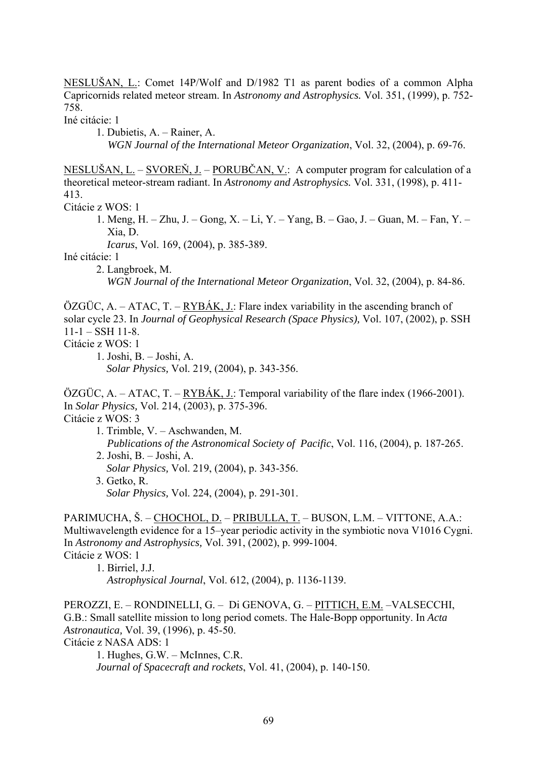NESLUŠAN, L.: Comet 14P/Wolf and D/1982 T1 as parent bodies of a common Alpha Capricornids related meteor stream. In *Astronomy and Astrophysics.* Vol. 351, (1999), p. 752- 758.

Iné citácie: 1

 1. Dubietis, A. – Rainer, A. *WGN Journal of the International Meteor Organization*, Vol. 32, (2004), p. 69-76.

NESLUŠAN, L. – SVOREŇ, J. – PORUBČAN, V.: A computer program for calculation of a theoretical meteor-stream radiant. In *Astronomy and Astrophysics.* Vol. 331, (1998), p. 411- 413.

Citácie z WOS: 1

1. Meng, H. – Zhu, J. – Gong, X. – Li, Y. – Yang, B. – Gao, J. – Guan, M. – Fan, Y. – Xia, D.

*Icarus*, Vol. 169, (2004), p. 385-389.

Iné citácie: 1

 2. Langbroek, M. *WGN Journal of the International Meteor Organization*, Vol. 32, (2004), p. 84-86.

 $\overline{OZGUC}$ , A. – ATAC, T. – RYBÁK, J.: Flare index variability in the ascending branch of solar cycle 23. In *Journal of Geophysical Research (Space Physics),* Vol. 107, (2002), p. SSH  $11-1 - SSH$  11-8.

Citácie z WOS: 1

 $\overline{OZGUC}$ , A. – ATAC, T. – RYBÁK, J.: Temporal variability of the flare index (1966-2001). In *Solar Physics,* Vol. 214, (2003), p. 375-396.

Citácie z WOS: 3

- 1. Trimble, V. Aschwanden, M. *Publications of the Astronomical Society of Pacific*, Vol. 116, (2004), p. 187-265. 2. Joshi, B. – Joshi, A. *Solar Physics,* Vol. 219, (2004), p. 343-356. 3. Getko, R.
	- *Solar Physics,* Vol. 224, (2004), p. 291-301.

PARIMUCHA, Š. – CHOCHOL, D. – PRIBULLA, T. – BUSON, L.M. – VITTONE, A.A.: Multiwavelength evidence for a 15–year periodic activity in the symbiotic nova V1016 Cygni. In *Astronomy and Astrophysics,* Vol. 391, (2002), p. 999-1004. Citácie z WOS: 1

 1. Birriel, J.J. *Astrophysical Journal*, Vol. 612, (2004), p. 1136-1139.

PEROZZI, E. – RONDINELLI, G. – Di GENOVA, G. – PITTICH, E.M. –VALSECCHI, G.B.: Small satellite mission to long period comets. The Hale-Bopp opportunity. In *Acta Astronautica,* Vol. 39, (1996), p. 45-50. Citácie z NASA ADS: 1

1. Hughes, G.W. – McInnes, C.R. *Journal of Spacecraft and rockets*, Vol. 41, (2004), p. 140-150.

 <sup>1.</sup> Joshi, B. – Joshi, A. *Solar Physics,* Vol. 219, (2004), p. 343-356.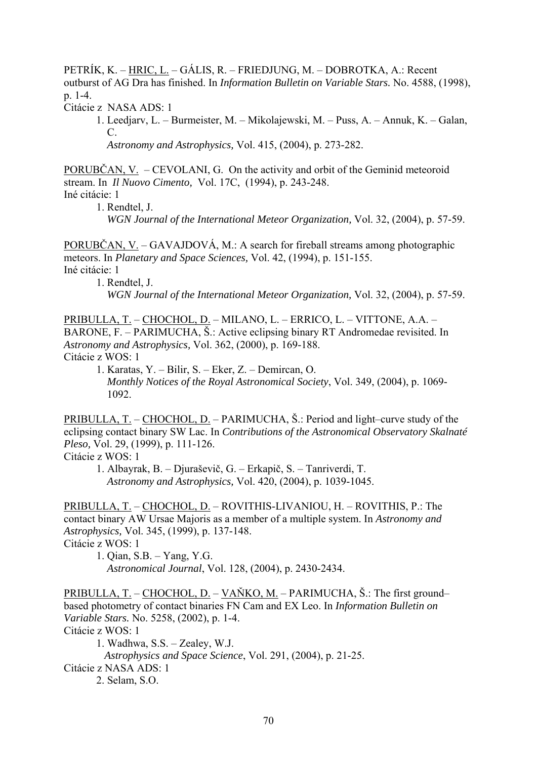PETRÍK, K. – HRIC, L. – GÁLIS, R. – FRIEDJUNG, M. – DOBROTKA, A.: Recent outburst of AG Dra has finished. In *Information Bulletin on Variable Stars.* No. 4588, (1998), p. 1-4.

Citácie z NASA ADS: 1

 1. Leedjarv, L. – Burmeister, M. – Mikolajewski, M. – Puss, A. – Annuk, K. – Galan, C.

*Astronomy and Astrophysics,* Vol. 415, (2004), p. 273-282.

PORUBČAN, V. – CEVOLANI, G. On the activity and orbit of the Geminid meteoroid stream. In *Il Nuovo Cimento,* Vol. 17C, (1994), p. 243-248. Iné citácie: 1

1. Rendtel, J.

*WGN Journal of the International Meteor Organization,* Vol. 32, (2004), p. 57-59.

PORUBČAN, V. – GAVAJDOVÁ, M.: A search for fireball streams among photographic meteors. In *Planetary and Space Sciences,* Vol. 42, (1994), p. 151-155. Iné citácie: 1

1. Rendtel, J.

*WGN Journal of the International Meteor Organization,* Vol. 32, (2004), p. 57-59.

PRIBULLA, T. – CHOCHOL, D. – MILANO, L. – ERRICO, L. – VITTONE, A.A. – BARONE, F. – PARIMUCHA, Š.: Active eclipsing binary RT Andromedae revisited. In *Astronomy and Astrophysics,* Vol. 362, (2000), p. 169-188. Citácie z WOS: 1

 1. Karatas, Y. – Bilir, S. – Eker, Z. – Demircan, O. *Monthly Notices of the Royal Astronomical Society*, Vol. 349, (2004), p. 1069- 1092.

PRIBULLA, T. – CHOCHOL, D. – PARIMUCHA, Š.: Period and light–curve study of the eclipsing contact binary SW Lac. In *Contributions of the Astronomical Observatory Skalnaté Pleso,* Vol. 29, (1999), p. 111-126.

Citácie z WOS: 1

 1. Albayrak, B. – Djuraševič, G. – Erkapič, S. – Tanriverdi, T. *Astronomy and Astrophysics,* Vol. 420, (2004), p. 1039-1045.

PRIBULLA, T. – CHOCHOL, D. – ROVITHIS-LIVANIOU, H. – ROVITHIS, P.: The contact binary AW Ursae Majoris as a member of a multiple system. In *Astronomy and Astrophysics,* Vol. 345, (1999), p. 137-148. Citácie z WOS: 1

 1. Qian, S.B. – Yang, Y.G. *Astronomical Journal*, Vol. 128, (2004), p. 2430-2434.

PRIBULLA, T. – CHOCHOL, D. – VAŇKO, M. – PARIMUCHA, Š.: The first ground– based photometry of contact binaries FN Cam and EX Leo. In *Information Bulletin on Variable Stars.* No. 5258, (2002), p. 1-4. Citácie z WOS: 1 1. Wadhwa, S.S. – Zealey, W.J. *Astrophysics and Space Science*, Vol. 291, (2004), p. 21-25. Citácie z NASA ADS: 1

2. Selam, S.O.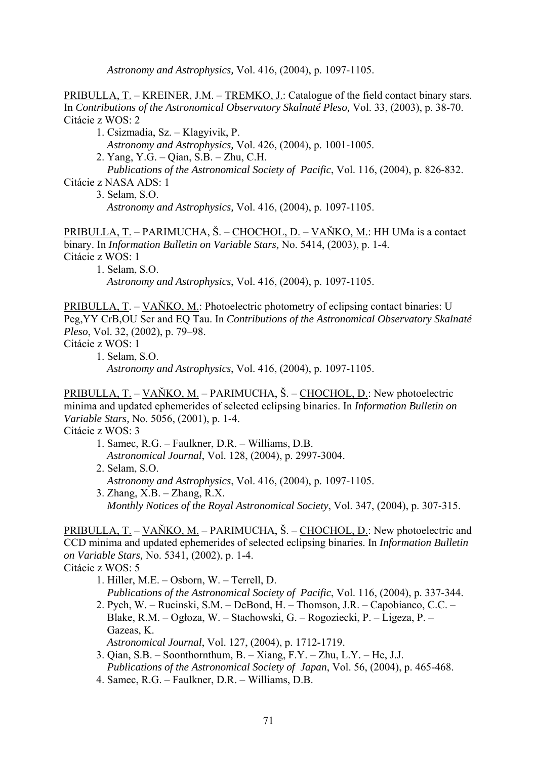*Astronomy and Astrophysics,* Vol. 416, (2004), p. 1097-1105.

PRIBULLA, T. – KREINER, J.M. – TREMKO, J.: Catalogue of the field contact binary stars. In *Contributions of the Astronomical Observatory Skalnaté Pleso,* Vol. 33, (2003), p. 38-70. Citácie z WOS: 2

1. Csizmadia, Sz. – Klagyivik, P.

*Astronomy and Astrophysics,* Vol. 426, (2004), p. 1001-1005.

2. Yang, Y.G. – Qian, S.B. – Zhu, C.H.

 *Publications of the Astronomical Society of Pacific*, Vol. 116, (2004), p. 826-832. Citácie z NASA ADS: 1

3. Selam, S.O.

*Astronomy and Astrophysics,* Vol. 416, (2004), p. 1097-1105.

PRIBULLA, T. – PARIMUCHA, Š. – CHOCHOL, D. – VAŇKO, M.: HH UMa is a contact binary. In *Information Bulletin on Variable Stars,* No. 5414, (2003), p. 1-4. Citácie z WOS: 1

 1. Selam, S.O. *Astronomy and Astrophysics*, Vol. 416, (2004), p. 1097-1105.

PRIBULLA, T. – VAŇKO, M.: Photoelectric photometry of eclipsing contact binaries: U Peg,YY CrB,OU Ser and EQ Tau. In *Contributions of the Astronomical Observatory Skalnaté Pleso*, Vol. 32, (2002), p. 79–98.

- Citácie z WOS: 1
	- 1. Selam, S.O.

*Astronomy and Astrophysics*, Vol. 416, (2004), p. 1097-1105.

PRIBULLA, T. – VAŇKO, M. – PARIMUCHA, Š. – CHOCHOL, D.: New photoelectric minima and updated ephemerides of selected eclipsing binaries. In *Information Bulletin on Variable Stars,* No. 5056, (2001), p. 1-4.

Citácie z WOS: 3

- 1. Samec, R.G. Faulkner, D.R. Williams, D.B. *Astronomical Journal*, Vol. 128, (2004), p. 2997-3004. 2. Selam, S.O.
	- *Astronomy and Astrophysics*, Vol. 416, (2004), p. 1097-1105.
- 3. Zhang, X.B. Zhang, R.X. *Monthly Notices of the Royal Astronomical Society*, Vol. 347, (2004), p. 307-315.

PRIBULLA, T. – VAŇKO, M. – PARIMUCHA, Š. – CHOCHOL, D.: New photoelectric and CCD minima and updated ephemerides of selected eclipsing binaries. In *Information Bulletin on Variable Stars,* No. 5341, (2002), p. 1-4. Citácie z WOS: 5

 1. Hiller, M.E. – Osborn, W. – Terrell, D. *Publications of the Astronomical Society of Pacific*, Vol. 116, (2004), p. 337-344. 2. Pych, W. – Rucinski, S.M. – DeBond, H. – Thomson, J.R. – Capobianco, C.C. – Blake, R.M. – Ogłoza, W. – Stachowski, G. – Rogoziecki, P. – Ligeza, P. – Gazeas, K.

*Astronomical Journal*, Vol. 127, (2004), p. 1712-1719.

- 3. Qian, S.B. Soonthornthum, B. Xiang, F.Y. Zhu, L.Y. He, J.J. *Publications of the Astronomical Society of Japan*, Vol. 56, (2004), p. 465-468.
- 4. Samec, R.G. Faulkner, D.R. Williams, D.B.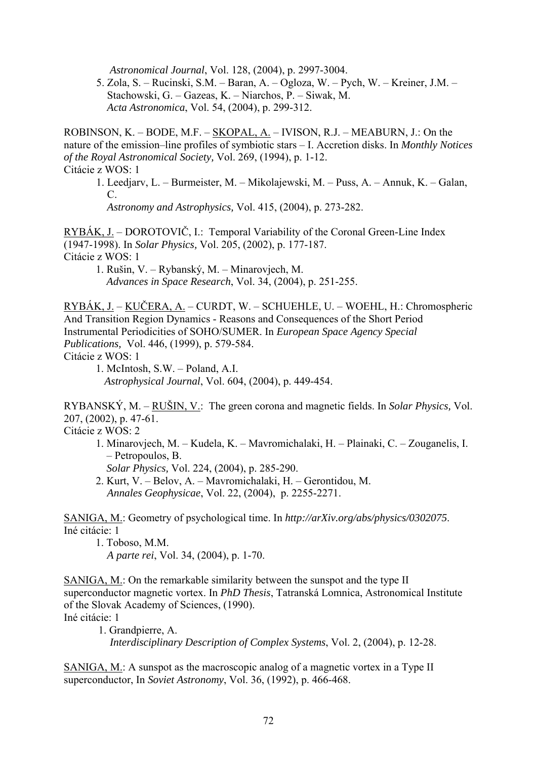*Astronomical Journal*, Vol. 128, (2004), p. 2997-3004.

 5. Zola, S. – Rucinski, S.M. – Baran, A. – Ogloza, W. – Pych, W. – Kreiner, J.M. – Stachowski, G. – Gazeas, K. – Niarchos, P. – Siwak, M. *Acta Astronomica*, Vol. 54, (2004), p. 299-312.

ROBINSON, K. – BODE, M.F. – SKOPAL, A. – IVISON, R.J. – MEABURN, J.: On the nature of the emission–line profiles of symbiotic stars – I. Accretion disks. In *Monthly Notices of the Royal Astronomical Society,* Vol. 269, (1994), p. 1-12. Citácie z WOS: 1

 1. Leedjarv, L. – Burmeister, M. – Mikolajewski, M. – Puss, A. – Annuk, K. – Galan, C.

*Astronomy and Astrophysics,* Vol. 415, (2004), p. 273-282.

RYBÁK, J. – DOROTOVIČ, I.: Temporal Variability of the Coronal Green-Line Index (1947-1998). In *Solar Physics,* Vol. 205, (2002), p. 177-187. Citácie z WOS: 1

1. Rušin, V. – Rybanský, M. – Minarovjech, M. *Advances in Space Research*, Vol. 34, (2004), p. 251-255.

RYBÁK, J. – KUČERA, A. – CURDT, W. – SCHUEHLE, U. – WOEHL, H.: Chromospheric And Transition Region Dynamics - Reasons and Consequences of the Short Period Instrumental Periodicities of SOHO/SUMER. In *European Space Agency Special Publications,* Vol. 446, (1999), p. 579-584. Citácie z WOS: 1

RYBANSKÝ, M. – RUŠIN, V.: The green corona and magnetic fields. In *Solar Physics,* Vol. 207, (2002), p. 47-61.

Citácie z WOS: 2

1. Minarovjech, M. – Kudela, K. – Mavromichalaki, H. – Plainaki, C. – Zouganelis, I. – Petropoulos, B.

*Solar Physics,* Vol. 224, (2004), p. 285-290.

2. Kurt, V. – Belov, A. – Mavromichalaki, H. – Gerontidou, M. *Annales Geophysicae*, Vol. 22, (2004), p. 2255-2271.

SANIGA, M.: Geometry of psychological time. In *http://arXiv.org/abs/physics/0302075*. Iné citácie: 1

1. Toboso, M.M.

*A parte rei*, Vol. 34, (2004), p. 1-70.

SANIGA, M.: On the remarkable similarity between the sunspot and the type II superconductor magnetic vortex. In *PhD Thesis*, Tatranská Lomnica, Astronomical Institute of the Slovak Academy of Sciences, (1990). Iné citácie: 1

 1. Grandpierre, A. *Interdisciplinary Description of Complex Systems*, Vol. 2, (2004), p. 12-28.

SANIGA, M.: A sunspot as the macroscopic analog of a magnetic vortex in a Type II superconductor, In *Soviet Astronomy*, Vol. 36, (1992), p. 466-468.

<sup>1.</sup> McIntosh, S.W. – Poland, A.I. *Astrophysical Journal*, Vol. 604, (2004), p. 449-454.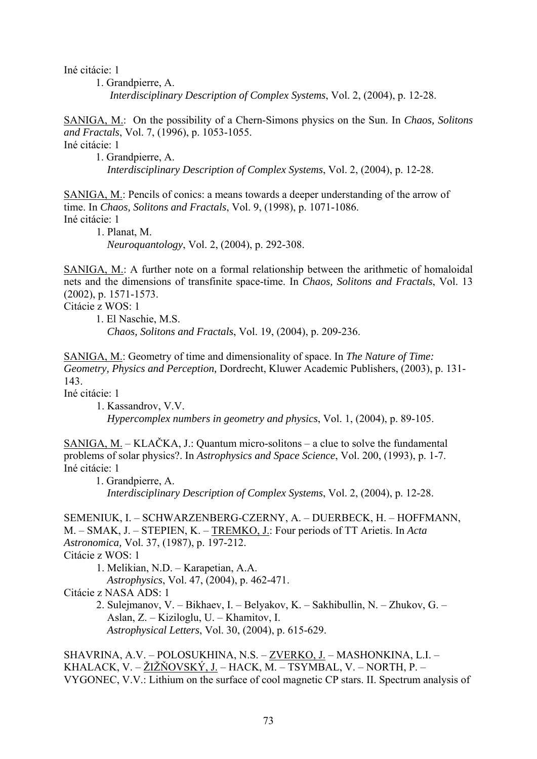Iné citácie: 1

1. Grandpierre, A. *Interdisciplinary Description of Complex Systems*, Vol. 2, (2004), p. 12-28.

SANIGA, M.: On the possibility of a Chern-Simons physics on the Sun. In *Chaos, Solitons and Fractals*, Vol. 7, (1996), p. 1053-1055.

Iné citácie: 1

1. Grandpierre, A. *Interdisciplinary Description of Complex Systems*, Vol. 2, (2004), p. 12-28.

SANIGA, M.: Pencils of conics: a means towards a deeper understanding of the arrow of time. In *Chaos, Solitons and Fractals*, Vol. 9, (1998), p. 1071-1086. Iné citácie: 1

 1. Planat, M. *Neuroquantology*, Vol. 2, (2004), p. 292-308.

SANIGA, M.: A further note on a formal relationship between the arithmetic of homaloidal nets and the dimensions of transfinite space-time. In *Chaos, Solitons and Fractals*, Vol. 13 (2002), p. 1571-1573.

Citácie z WOS: 1

1. El Naschie, M.S.

*Chaos, Solitons and Fractals*, Vol. 19, (2004), p. 209-236.

SANIGA, M.: Geometry of time and dimensionality of space. In *The Nature of Time: Geometry, Physics and Perception,* Dordrecht, Kluwer Academic Publishers, (2003), p. 131- 143.

Iné citácie: 1

 1. Kassandrov, V.V. *Hypercomplex numbers in geometry and physics*, Vol. 1, (2004), p. 89-105.

SANIGA, M. – KLAČKA, J.: Quantum micro-solitons – a clue to solve the fundamental problems of solar physics?. In *Astrophysics and Space Science*, Vol. 200, (1993), p. 1-7. Iné citácie: 1

1. Grandpierre, A.

*Interdisciplinary Description of Complex Systems*, Vol. 2, (2004), p. 12-28.

SEMENIUK, I. – SCHWARZENBERG-CZERNY, A. – DUERBECK, H. – HOFFMANN, M. – SMAK, J. – STEPIEN, K. – TREMKO, J.: Four periods of TT Arietis. In *Acta Astronomica,* Vol. 37, (1987), p. 197-212. Citácie z WOS: 1 1. Melikian, N.D. – Karapetian, A.A. *Astrophysics*, Vol. 47, (2004), p. 462-471.

Citácie z NASA ADS: 1 2. Sulejmanov, V. – Bikhaev, I. – Belyakov, K. – Sakhibullin, N. – Zhukov, G. – Aslan, Z. – Kiziloglu, U. – Khamitov, I. *Astrophysical Letters*, Vol. 30, (2004), p. 615-629.

SHAVRINA, A.V. – POLOSUKHINA, N.S. – ZVERKO, J. – MASHONKINA, L.I. – KHALACK, V. – ŽIŽŇOVSKÝ, J. – HACK, M. – TSYMBAL, V. – NORTH, P. – VYGONEC, V.V.: Lithium on the surface of cool magnetic CP stars. II. Spectrum analysis of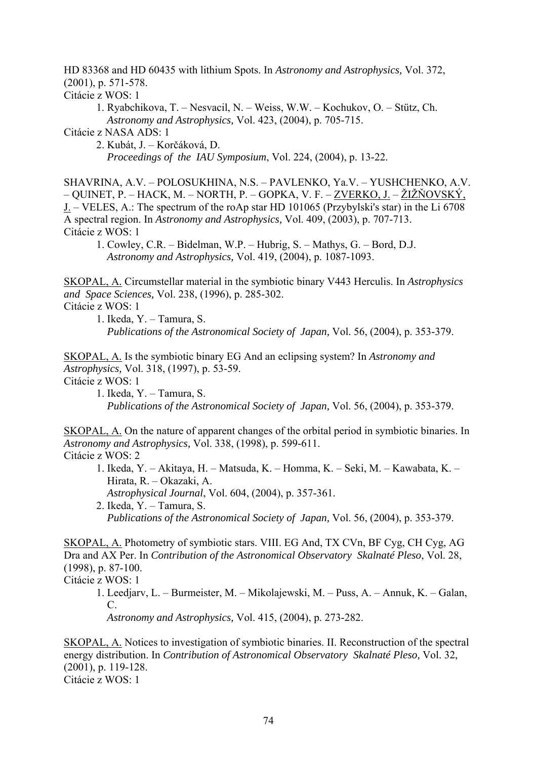HD 83368 and HD 60435 with lithium Spots. In *Astronomy and Astrophysics,* Vol. 372, (2001), p. 571-578.

Citácie z WOS: 1

 1. Ryabchikova, T. – Nesvacil, N. – Weiss, W.W. – Kochukov, O. – Stütz, Ch. *Astronomy and Astrophysics,* Vol. 423, (2004), p. 705-715.

Citácie z NASA ADS: 1

2. Kubát, J. – Korčáková, D.

*Proceedings of the IAU Symposium*, Vol. 224, (2004), p. 13-22.

SHAVRINA, A.V. – POLOSUKHINA, N.S. – PAVLENKO, Ya.V. – YUSHCHENKO, A.V. – QUINET, P. – HACK, M. – NORTH, P. – GOPKA, V. F. – ZVERKO, J. – ŽIŽŇOVSKÝ, J. – VELES, A.: The spectrum of the roAp star HD 101065 (Przybylski's star) in the Li 6708 A spectral region. In *Astronomy and Astrophysics,* Vol. 409, (2003), p. 707-713. Citácie z WOS: 1

 1. Cowley, C.R. – Bidelman, W.P. – Hubrig, S. – Mathys, G. – Bord, D.J. *Astronomy and Astrophysics,* Vol. 419, (2004), p. 1087-1093.

SKOPAL, A. Circumstellar material in the symbiotic binary V443 Herculis. In *Astrophysics and Space Sciences,* Vol. 238, (1996), p. 285-302.

Citácie z WOS: 1

1. Ikeda, Y. – Tamura, S.

*Publications of the Astronomical Society of Japan,* Vol. 56, (2004), p. 353-379.

SKOPAL, A. Is the symbiotic binary EG And an eclipsing system? In *Astronomy and Astrophysics,* Vol. 318, (1997), p. 53-59.

Citácie z WOS: 1

 1. Ikeda, Y. – Tamura, S. *Publications of the Astronomical Society of Japan,* Vol. 56, (2004), p. 353-379.

SKOPAL, A. On the nature of apparent changes of the orbital period in symbiotic binaries. In *Astronomy and Astrophysics,* Vol. 338, (1998), p. 599-611. Citácie z WOS: 2

- 1. Ikeda, Y. Akitaya, H. Matsuda, K. Homma, K. Seki, M. Kawabata, K. Hirata, R. – Okazaki, A. *Astrophysical Journal*, Vol. 604, (2004), p. 357-361.
- 2. Ikeda, Y. Tamura, S. *Publications of the Astronomical Society of Japan,* Vol. 56, (2004), p. 353-379.

SKOPAL, A. Photometry of symbiotic stars. VIII. EG And, TX CVn, BF Cyg, CH Cyg, AG Dra and AX Per. In *Contribution of the Astronomical Observatory Skalnaté Pleso*, Vol. 28, (1998), p. 87-100.

Citácie z WOS: 1

1. Leedjarv, L. – Burmeister, M. – Mikolajewski, M. – Puss, A. – Annuk, K. – Galan, C.

*Astronomy and Astrophysics,* Vol. 415, (2004), p. 273-282.

SKOPAL, A. Notices to investigation of symbiotic binaries. II. Reconstruction of the spectral energy distribution. In *Contribution of Astronomical Observatory Skalnaté Pleso,* Vol. 32, (2001), p. 119-128. Citácie z WOS: 1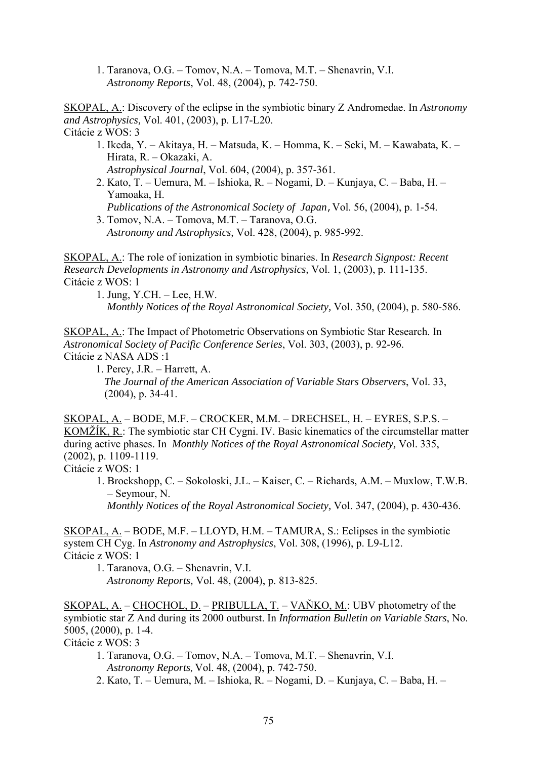1. Taranova, O.G. – Tomov, N.A. – Tomova, M.T. – Shenavrin, V.I. *Astronomy Reports*, Vol. 48, (2004), p. 742-750.

SKOPAL, A.: Discovery of the eclipse in the symbiotic binary Z Andromedae. In *Astronomy and Astrophysics,* Vol. 401, (2003), p. L17-L20. Citácie z WOS: 3

- 1. Ikeda, Y. Akitaya, H. Matsuda, K. Homma, K. Seki, M. Kawabata, K. Hirata, R. – Okazaki, A.
- *Astrophysical Journal*, Vol. 604, (2004), p. 357-361.
- 2. Kato, T. Uemura, M. Ishioka, R. Nogami, D. Kunjaya, C. Baba, H. Yamoaka, H.

*Publications of the Astronomical Society of Japan, Vol. 56, (2004), p. 1-54.* 

 3. Tomov, N.A. – Tomova, M.T. – Taranova, O.G. *Astronomy and Astrophysics,* Vol. 428, (2004), p. 985-992.

SKOPAL, A.: The role of ionization in symbiotic binaries. In *Research Signpost: Recent Research Developments in Astronomy and Astrophysics,* Vol. 1, (2003), p. 111-135. Citácie z WOS: 1

 1. Jung, Y.CH. – Lee, H.W. *Monthly Notices of the Royal Astronomical Society,* Vol. 350, (2004), p. 580-586.

SKOPAL, A.: The Impact of Photometric Observations on Symbiotic Star Research. In *Astronomical Society of Pacific Conference Series*, Vol. 303, (2003), p. 92-96. Citácie z NASA ADS :1

1. Percy, J.R. – Harrett, A. *The Journal of the American Association of Variable Stars Observers*, Vol. 33, (2004), p. 34-41.

SKOPAL, A. – BODE, M.F. – CROCKER, M.M. – DRECHSEL, H. – EYRES, S.P.S. – KOMŽÍK, R.: The symbiotic star CH Cygni. IV. Basic kinematics of the circumstellar matter during active phases. In *Monthly Notices of the Royal Astronomical Society,* Vol. 335, (2002), p. 1109-1119.

Citácie z WOS: 1

1. Brockshopp, C. – Sokoloski, J.L. – Kaiser, C. – Richards, A.M. – Muxlow, T.W.B. – Seymour, N.

*Monthly Notices of the Royal Astronomical Society,* Vol. 347, (2004), p. 430-436.

SKOPAL, A. – BODE, M.F. – LLOYD, H.M. – TAMURA, S.: Eclipses in the symbiotic system CH Cyg. In *Astronomy and Astrophysics*, Vol. 308, (1996), p. L9-L12. Citácie z WOS: 1

1. Taranova, O.G. – Shenavrin, V.I.

*Astronomy Reports,* Vol. 48, (2004), p. 813-825.

SKOPAL, A. – CHOCHOL, D. – PRIBULLA, T. – VAŇKO, M.: UBV photometry of the symbiotic star Z And during its 2000 outburst. In *Information Bulletin on Variable Stars*, No. 5005, (2000), p. 1-4.

- Citácie z WOS: 3
	- 1. Taranova, O.G. Tomov, N.A. Tomova, M.T. Shenavrin, V.I. *Astronomy Reports,* Vol. 48, (2004), p. 742-750.
	- 2. Kato, T. Uemura, M. Ishioka, R. Nogami, D. Kunjaya, C. Baba, H. –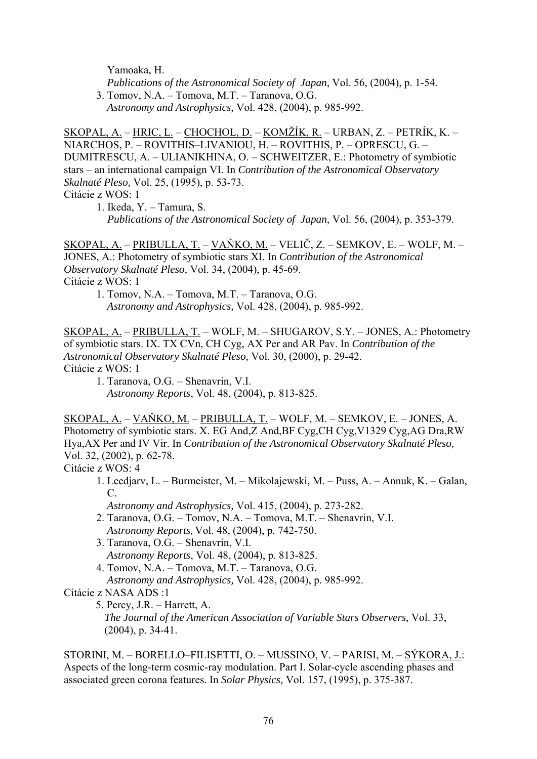Yamoaka, H.

 *Publications of the Astronomical Society of Japan*, Vol. 56, (2004), p. 1-54. 3. Tomov, N.A. – Tomova, M.T. – Taranova, O.G.

*Astronomy and Astrophysics,* Vol. 428, (2004), p. 985-992.

SKOPAL, A. – HRIC, L. – CHOCHOL, D. – KOMŽÍK, R. – URBAN, Z. – PETRÍK, K. – NIARCHOS, P. – ROVITHIS–LIVANIOU, H. – ROVITHIS, P. – OPRESCU, G. – DUMITRESCU, A. – ULIANIKHINA, O. – SCHWEITZER, E.: Photometry of symbiotic stars – an international campaign VI. In *Contribution of the Astronomical Observatory Skalnaté Pleso,* Vol. 25, (1995), p. 53-73.

Citácie z WOS: 1

1. Ikeda, Y. – Tamura, S. *Publications of the Astronomical Society of Japan*, Vol. 56, (2004), p. 353-379.

SKOPAL, A. – PRIBULLA, T. – VAŇKO, M. – VELIČ, Z. – SEMKOV, E. – WOLF, M. – JONES, A.: Photometry of symbiotic stars XI. In *Contribution of the Astronomical Observatory Skalnaté Pleso,* Vol. 34, (2004), p. 45-69. Citácie z WOS: 1 1. Tomov, N.A. – Tomova, M.T. – Taranova, O.G.

*Astronomy and Astrophysics,* Vol. 428, (2004), p. 985-992.

SKOPAL, A. – PRIBULLA, T. – WOLF, M. – SHUGAROV, S.Y. – JONES, A.: Photometry of symbiotic stars. IX. TX CVn, CH Cyg, AX Per and AR Pav. In *Contribution of the Astronomical Observatory Skalnaté Pleso,* Vol. 30, (2000), p. 29-42. Citácie z WOS: 1

1. Taranova, O.G. – Shenavrin, V.I.

*Astronomy Reports*, Vol. 48, (2004), p. 813-825.

SKOPAL, A. – VAŇKO, M. – PRIBULLA, T. – WOLF, M. – SEMKOV, E. – JONES, A. Photometry of symbiotic stars. X. EG And,Z And,BF Cyg,CH Cyg,V1329 Cyg,AG Dra,RW Hya,AX Per and IV Vir. In *Contribution of the Astronomical Observatory Skalnaté Pleso,* Vol. 32, (2002), p. 62-78.

Citácie z WOS: 4

1. Leedjarv, L. – Burmeister, M. – Mikolajewski, M. – Puss, A. – Annuk, K. – Galan, C.

*Astronomy and Astrophysics,* Vol. 415, (2004), p. 273-282.

- 2. Taranova, O.G. Tomov, N.A. Tomova, M.T. Shenavrin, V.I. *Astronomy Reports,* Vol. 48, (2004), p. 742-750.
- 3. Taranova, O.G. Shenavrin, V.I. *Astronomy Reports*, Vol. 48, (2004), p. 813-825.
- 4. Tomov, N.A. Tomova, M.T. Taranova, O.G. *Astronomy and Astrophysics,* Vol. 428, (2004), p. 985-992.

Citácie z NASA ADS :1

5. Percy, J.R. – Harrett, A.

 *The Journal of the American Association of Variable Stars Observers*, Vol. 33, (2004), p. 34-41.

STORINI, M. – BORELLO–FILISETTI, O. – MUSSINO, V. – PARISI, M. – SÝKORA, J.: Aspects of the long-term cosmic-ray modulation. Part I. Solar-cycle ascending phases and associated green corona features. In *Solar Physics,* Vol. 157, (1995), p. 375-387.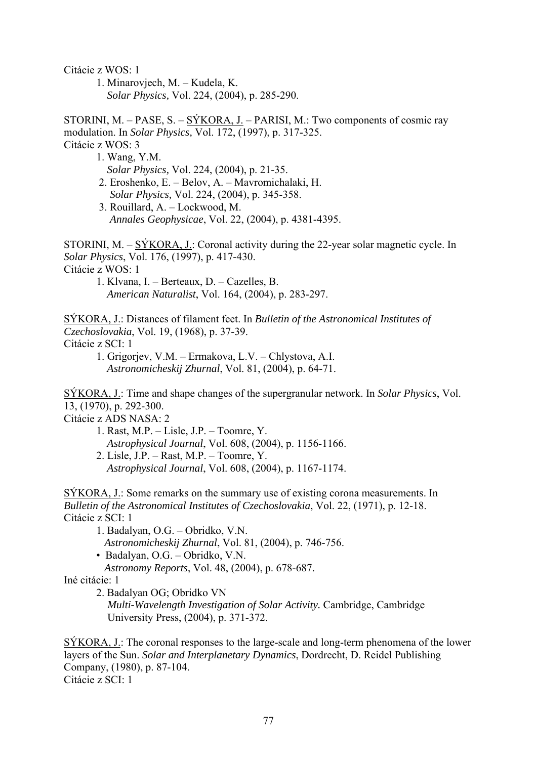Citácie z WOS: 1

 1. Minarovjech, M. – Kudela, K. *Solar Physics,* Vol. 224, (2004), p. 285-290.

STORINI, M. – PASE, S. – SÝKORA, J. – PARISI, M.: Two components of cosmic ray modulation. In *Solar Physics,* Vol. 172, (1997), p. 317-325. Citácie z WOS: 3

 1. Wang, Y.M. *Solar Physics,* Vol. 224, (2004), p. 21-35. 2. Eroshenko, E. – Belov, A. – Mavromichalaki, H. *Solar Physics,* Vol. 224, (2004), p. 345-358.

 3. Rouillard, A. – Lockwood, M. *Annales Geophysicae*, Vol. 22, (2004), p. 4381-4395.

STORINI, M. – SÝKORA, J.: Coronal activity during the 22-year solar magnetic cycle. In *Solar Physics*, Vol. 176, (1997), p. 417-430. Citácie z WOS: 1

 1. Klvana, I. – Berteaux, D. – Cazelles, B. *American Naturalist*, Vol. 164, (2004), p. 283-297.

SÝKORA, J.: Distances of filament feet. In *Bulletin of the Astronomical Institutes of Czechoslovakia*, Vol. 19, (1968), p. 37-39. Citácie z SCI: 1

 1. Grigorjev, V.M. – Ermakova, L.V. – Chlystova, A.I. *Astronomicheskij Zhurnal*, Vol. 81, (2004), p. 64-71.

SÝKORA, J.: Time and shape changes of the supergranular network. In *Solar Physics*, Vol. 13, (1970), p. 292-300.

Citácie z ADS NASA: 2

1. Rast, M.P. – Lisle, J.P. – Toomre, Y. *Astrophysical Journal*, Vol. 608, (2004), p. 1156-1166. 2. Lisle, J.P. – Rast, M.P. – Toomre, Y. *Astrophysical Journal*, Vol. 608, (2004), p. 1167-1174.

SÝKORA, J.: Some remarks on the summary use of existing corona measurements. In *Bulletin of the Astronomical Institutes of Czechoslovakia*, Vol. 22, (1971), p. 12-18. Citácie z SCI: 1

1. Badalyan, O.G. – Obridko, V.N.

*Astronomicheskij Zhurnal*, Vol. 81, (2004), p. 746-756.

• Badalyan, O.G. – Obridko, V.N.

*Astronomy Reports*, Vol. 48, (2004), p. 678-687.

Iné citácie: 1

2. Badalyan OG; Obridko VN

*Multi-Wavelength Investigation of Solar Activity.* Cambridge, Cambridge University Press, (2004), p. 371-372.

SÝKORA, J.: The coronal responses to the large-scale and long-term phenomena of the lower layers of the Sun. *Solar and Interplanetary Dynamics*, Dordrecht, D. Reidel Publishing Company, (1980), p. 87-104. Citácie z SCI: 1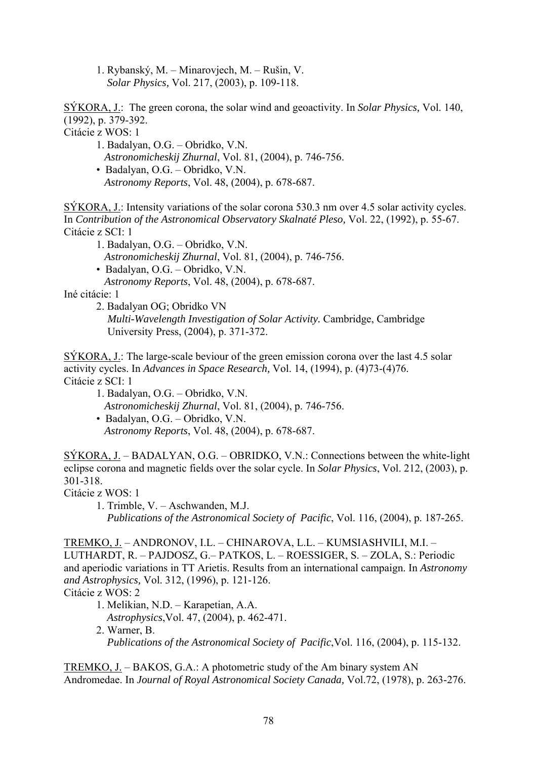1. Rybanský, M. – Minarovjech, M. – Rušin, V. *Solar Physics,* Vol. 217, (2003), p. 109-118.

SÝKORA, J.: The green corona, the solar wind and geoactivity. In *Solar Physics,* Vol. 140, (1992), p. 379-392.

Citácie z WOS: 1

- 1. Badalyan, O.G. Obridko, V.N.
- *Astronomicheskij Zhurnal*, Vol. 81, (2004), p. 746-756.
- Badalyan, O.G. Obridko, V.N.
	- *Astronomy Reports*, Vol. 48, (2004), p. 678-687.

SÝKORA, J.: Intensity variations of the solar corona 530.3 nm over 4.5 solar activity cycles. In *Contribution of the Astronomical Observatory Skalnaté Pleso,* Vol. 22, (1992), p. 55-67. Citácie z SCI: 1

1. Badalyan, O.G. – Obridko, V.N.

*Astronomicheskij Zhurnal*, Vol. 81, (2004), p. 746-756.

- Badalyan, O.G. Obridko, V.N.
- *Astronomy Reports*, Vol. 48, (2004), p. 678-687.

Iné citácie: 1

2. Badalyan OG; Obridko VN

*Multi-Wavelength Investigation of Solar Activity.* Cambridge, Cambridge University Press, (2004), p. 371-372.

SÝKORA, J.: The large-scale beviour of the green emission corona over the last 4.5 solar activity cycles. In *Advances in Space Research,* Vol. 14, (1994), p. (4)73-(4)76. Citácie z SCI: 1

- 1. Badalyan, O.G. Obridko, V.N. *Astronomicheskij Zhurnal*, Vol. 81, (2004), p. 746-756.
- Badalyan, O.G. Obridko, V.N. *Astronomy Reports*, Vol. 48, (2004), p. 678-687.

SÝKORA, J. – BADALYAN, O.G. – OBRIDKO, V.N.: Connections between the white-light eclipse corona and magnetic fields over the solar cycle. In *Solar Physics*, Vol. 212, (2003), p. 301-318.

Citácie z WOS: 1

 1. Trimble, V. – Aschwanden, M.J. *Publications of the Astronomical Society of Pacific*, Vol. 116, (2004), p. 187-265.

TREMKO, J. – ANDRONOV, I.L. – CHINAROVA, L.L. – KUMSIASHVILI, M.I. – LUTHARDT, R. – PAJDOSZ, G.– PATKOS, L. – ROESSIGER, S. – ZOLA, S.: Periodic and aperiodic variations in TT Arietis. Results from an international campaign. In *Astronomy and Astrophysics,* Vol. 312, (1996), p. 121-126. Citácie z WOS: 2

 1. Melikian, N.D. – Karapetian, A.A. *Astrophysics*,Vol. 47, (2004), p. 462-471. 2. Warner, B. *Publications of the Astronomical Society of Pacific*,Vol. 116, (2004), p. 115-132.

TREMKO, J. – BAKOS, G.A.: A photometric study of the Am binary system AN Andromedae. In *Journal of Royal Astronomical Society Canada,* Vol.72, (1978), p. 263-276.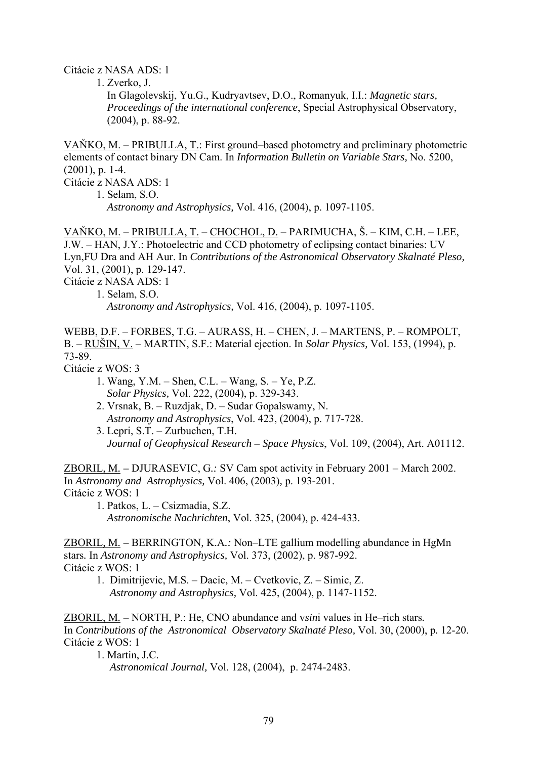Citácie z NASA ADS: 1

1. Zverko, J.

 In Glagolevskij, Yu.G., Kudryavtsev, D.O., Romanyuk, I.I.: *Magnetic stars, Proceedings of the international conference*, Special Astrophysical Observatory, (2004), p. 88-92.

VAŇKO, M. – PRIBULLA, T.: First ground–based photometry and preliminary photometric elements of contact binary DN Cam. In *Information Bulletin on Variable Stars,* No. 5200, (2001), p. 1-4. Citácie z NASA ADS: 1

1. Selam, S.O. *Astronomy and Astrophysics,* Vol. 416, (2004), p. 1097-1105.

VAŇKO, M. – PRIBULLA, T. – CHOCHOL, D. – PARIMUCHA, Š. – KIM, C.H. – LEE, J.W. – HAN, J.Y.: Photoelectric and CCD photometry of eclipsing contact binaries: UV Lyn,FU Dra and AH Aur. In *Contributions of the Astronomical Observatory Skalnaté Pleso,* Vol. 31, (2001), p. 129-147.

Citácie z NASA ADS: 1

1. Selam, S.O.

*Astronomy and Astrophysics,* Vol. 416, (2004), p. 1097-1105.

WEBB, D.F. – FORBES, T.G. – AURASS, H. – CHEN, J. – MARTENS, P. – ROMPOLT, B. – RUŠIN, V. – MARTIN, S.F.: Material ejection. In *Solar Physics,* Vol. 153, (1994), p. 73-89.

Citácie z WOS: 3

- 1. Wang, Y.M. Shen, C.L. Wang, S. Ye, P.Z. *Solar Physics,* Vol. 222, (2004), p. 329-343.
- 2. Vrsnak, B. Ruzdjak, D. Sudar Gopalswamy, N. *Astronomy and Astrophysics*, Vol. 423, (2004), p. 717-728.
- 3. Lepri, S.T. Zurbuchen, T.H. *Journal of Geophysical Research – Space Physics*, Vol. 109, (2004), Art. A01112.

ZBORIL*,* M*. –* DJURASEVIC, G*.:* SV Cam spot activity in February 2001 – March 2002. In *Astronomy and Astrophysics,* Vol. 406, (2003)*,* p. 193-201. Citácie z WOS: 1

1. Patkos, L. – Csizmadia, S.Z. *Astronomische Nachrichten*, Vol. 325, (2004), p. 424-433.

ZBORIL*,* M*. –* BERRINGTON*,* K.A*.:* Non–LTE gallium modelling abundance in HgMn stars*.* In *Astronomy and Astrophysics,* Vol. 373, (2002), p. 987-992. Citácie z WOS: 1

 1. Dimitrijevic, M.S. – Dacic, M. – Cvetkovic, Z. – Simic, Z. *Astronomy and Astrophysics,* Vol. 425, (2004), p. 1147-1152.

ZBORIL, M*. –* NORTH, P.: He, CNO abundance and v*sin*i values in He–rich stars*.*  In *Contributions of the Astronomical Observatory Skalnaté Pleso,* Vol. 30, (2000), p*.* 12-20. Citácie z WOS: 1

1. Martin, J.C.

*Astronomical Journal,* Vol. 128, (2004), p. 2474-2483.